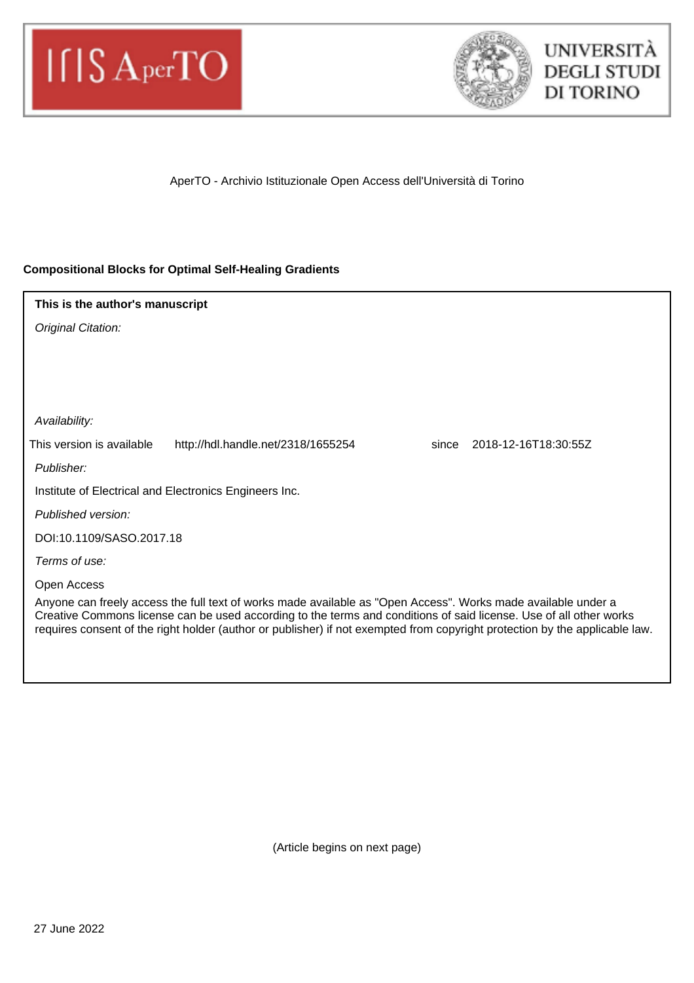



AperTO - Archivio Istituzionale Open Access dell'Università di Torino

# **Compositional Blocks for Optimal Self-Healing Gradients**

| This is the author's manuscript                                                                                                                                                                                                     |  |  |  |  |  |  |
|-------------------------------------------------------------------------------------------------------------------------------------------------------------------------------------------------------------------------------------|--|--|--|--|--|--|
| Original Citation:                                                                                                                                                                                                                  |  |  |  |  |  |  |
|                                                                                                                                                                                                                                     |  |  |  |  |  |  |
|                                                                                                                                                                                                                                     |  |  |  |  |  |  |
|                                                                                                                                                                                                                                     |  |  |  |  |  |  |
| Availability:                                                                                                                                                                                                                       |  |  |  |  |  |  |
| This version is available<br>http://hdl.handle.net/2318/1655254<br>2018-12-16T18:30:55Z<br>since                                                                                                                                    |  |  |  |  |  |  |
| Publisher:                                                                                                                                                                                                                          |  |  |  |  |  |  |
| Institute of Electrical and Electronics Engineers Inc.                                                                                                                                                                              |  |  |  |  |  |  |
| Published version:                                                                                                                                                                                                                  |  |  |  |  |  |  |
| DOI:10.1109/SASO.2017.18                                                                                                                                                                                                            |  |  |  |  |  |  |
| Terms of use:                                                                                                                                                                                                                       |  |  |  |  |  |  |
| Open Access                                                                                                                                                                                                                         |  |  |  |  |  |  |
| Anyone can freely access the full text of works made available as "Open Access". Works made available under a<br>Creative Commons license can be used according to the terms and conditions of said license. Use of all other works |  |  |  |  |  |  |
| requires consent of the right holder (author or publisher) if not exempted from copyright protection by the applicable law.                                                                                                         |  |  |  |  |  |  |
|                                                                                                                                                                                                                                     |  |  |  |  |  |  |

(Article begins on next page)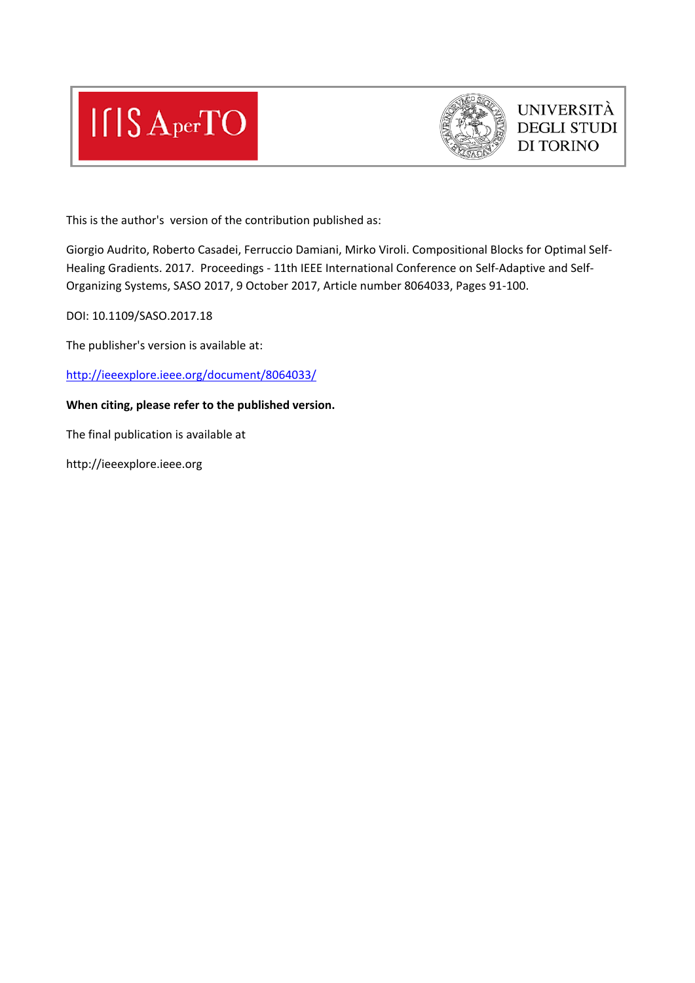



# **UNIVERSITÀ DEGLI STUDI** DI TORINO

This is the author's version of the contribution published as:

Giorgio Audrito, Roberto Casadei, Ferruccio Damiani, Mirko Viroli. Compositional Blocks for Optimal Self-Healing Gradients. 2017. Proceedings - 11th IEEE International Conference on Self-Adaptive and Self-Organizing Systems, SASO 2017, 9 October 2017, Article number 8064033, Pages 91-100.

DOI: 10.1109/SASO.2017.18

The publisher's version is available at:

<http://ieeexplore.ieee.org/document/8064033/>

## **When citing, please refer to the published version.**

The final publication is available at

http://ieeexplore.ieee.org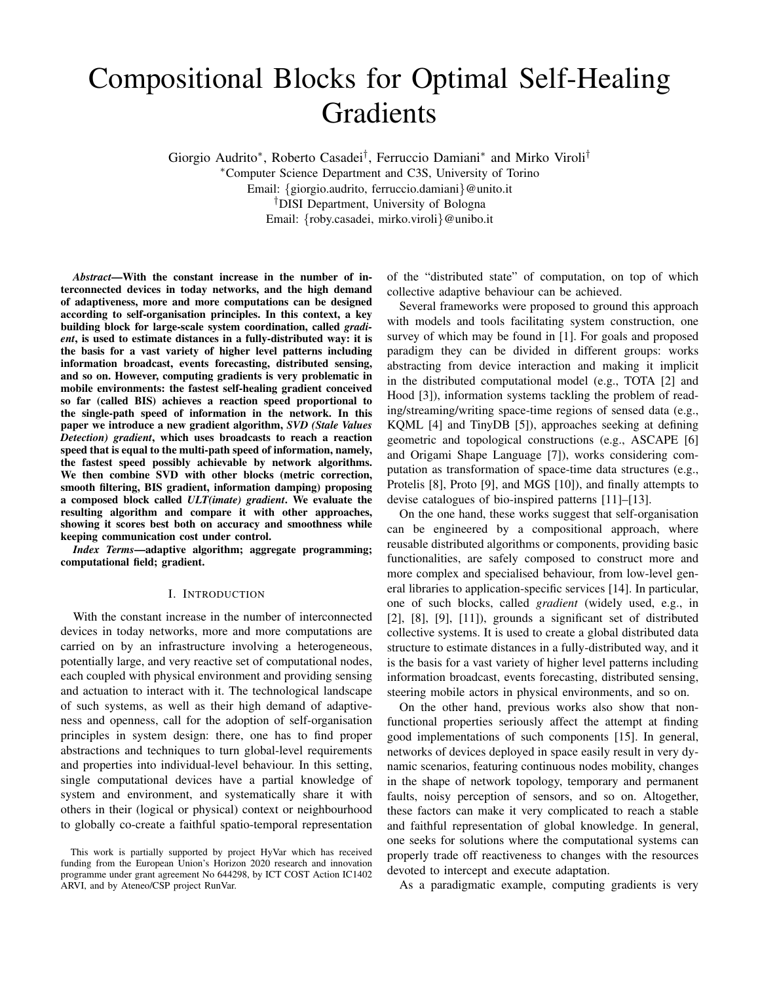# Compositional Blocks for Optimal Self-Healing Gradients

Giorgio Audrito\*, Roberto Casadei<sup>†</sup>, Ferruccio Damiani\* and Mirko Viroli<sup>†</sup>

<sup>∗</sup>Computer Science Department and C3S, University of Torino Email: {giorgio.audrito, ferruccio.damiani}@unito.it †DISI Department, University of Bologna

Email: {roby.casadei, mirko.viroli}@unibo.it

*Abstract*—With the constant increase in the number of interconnected devices in today networks, and the high demand of adaptiveness, more and more computations can be designed according to self-organisation principles. In this context, a key building block for large-scale system coordination, called *gradient*, is used to estimate distances in a fully-distributed way: it is the basis for a vast variety of higher level patterns including information broadcast, events forecasting, distributed sensing, and so on. However, computing gradients is very problematic in mobile environments: the fastest self-healing gradient conceived so far (called BIS) achieves a reaction speed proportional to the single-path speed of information in the network. In this paper we introduce a new gradient algorithm, *SVD (Stale Values Detection) gradient*, which uses broadcasts to reach a reaction speed that is equal to the multi-path speed of information, namely, the fastest speed possibly achievable by network algorithms. We then combine SVD with other blocks (metric correction, smooth filtering, BIS gradient, information damping) proposing a composed block called *ULT(imate) gradient*. We evaluate the resulting algorithm and compare it with other approaches, showing it scores best both on accuracy and smoothness while keeping communication cost under control.

*Index Terms*—adaptive algorithm; aggregate programming; computational field; gradient.

#### I. INTRODUCTION

With the constant increase in the number of interconnected devices in today networks, more and more computations are carried on by an infrastructure involving a heterogeneous, potentially large, and very reactive set of computational nodes, each coupled with physical environment and providing sensing and actuation to interact with it. The technological landscape of such systems, as well as their high demand of adaptiveness and openness, call for the adoption of self-organisation principles in system design: there, one has to find proper abstractions and techniques to turn global-level requirements and properties into individual-level behaviour. In this setting, single computational devices have a partial knowledge of system and environment, and systematically share it with others in their (logical or physical) context or neighbourhood to globally co-create a faithful spatio-temporal representation

of the "distributed state" of computation, on top of which collective adaptive behaviour can be achieved.

Several frameworks were proposed to ground this approach with models and tools facilitating system construction, one survey of which may be found in [1]. For goals and proposed paradigm they can be divided in different groups: works abstracting from device interaction and making it implicit in the distributed computational model (e.g., TOTA [2] and Hood [3]), information systems tackling the problem of reading/streaming/writing space-time regions of sensed data (e.g., KQML [4] and TinyDB [5]), approaches seeking at defining geometric and topological constructions (e.g., ASCAPE [6] and Origami Shape Language [7]), works considering computation as transformation of space-time data structures (e.g., Protelis [8], Proto [9], and MGS [10]), and finally attempts to devise catalogues of bio-inspired patterns [11]–[13].

On the one hand, these works suggest that self-organisation can be engineered by a compositional approach, where reusable distributed algorithms or components, providing basic functionalities, are safely composed to construct more and more complex and specialised behaviour, from low-level general libraries to application-specific services [14]. In particular, one of such blocks, called *gradient* (widely used, e.g., in [2], [8], [9], [11]), grounds a significant set of distributed collective systems. It is used to create a global distributed data structure to estimate distances in a fully-distributed way, and it is the basis for a vast variety of higher level patterns including information broadcast, events forecasting, distributed sensing, steering mobile actors in physical environments, and so on.

On the other hand, previous works also show that nonfunctional properties seriously affect the attempt at finding good implementations of such components [15]. In general, networks of devices deployed in space easily result in very dynamic scenarios, featuring continuous nodes mobility, changes in the shape of network topology, temporary and permanent faults, noisy perception of sensors, and so on. Altogether, these factors can make it very complicated to reach a stable and faithful representation of global knowledge. In general, one seeks for solutions where the computational systems can properly trade off reactiveness to changes with the resources devoted to intercept and execute adaptation.

As a paradigmatic example, computing gradients is very

This work is partially supported by project HyVar which has received funding from the European Union's Horizon 2020 research and innovation programme under grant agreement No 644298, by ICT COST Action IC1402 ARVI, and by Ateneo/CSP project RunVar.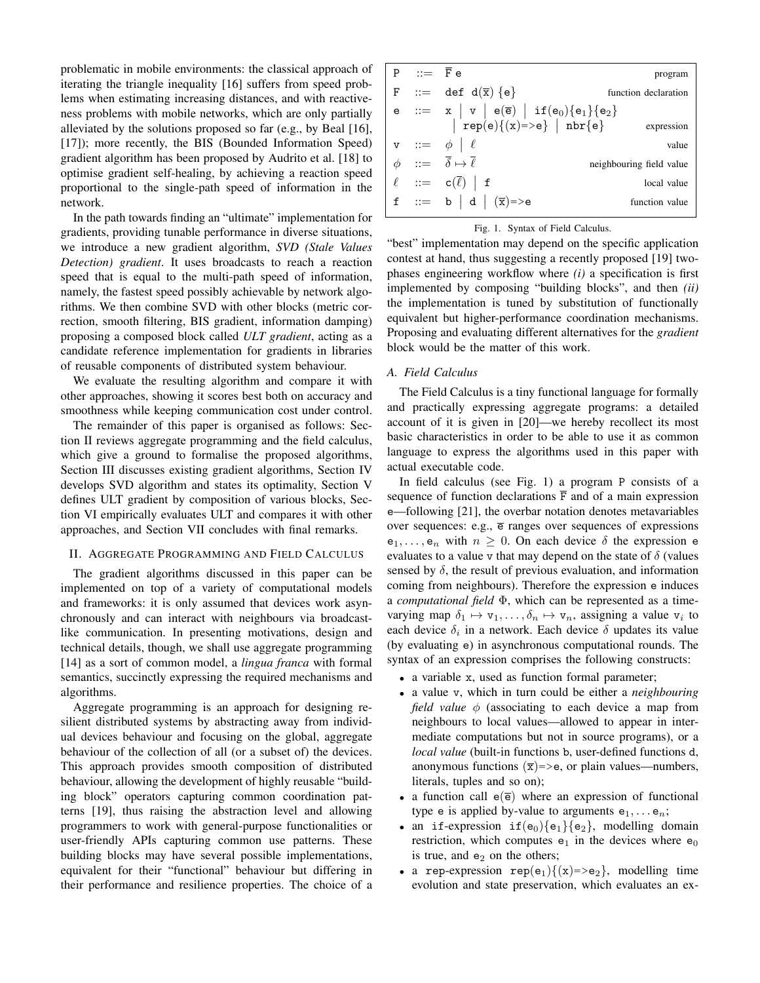problematic in mobile environments: the classical approach of iterating the triangle inequality [16] suffers from speed problems when estimating increasing distances, and with reactiveness problems with mobile networks, which are only partially alleviated by the solutions proposed so far (e.g., by Beal [16], [17]); more recently, the BIS (Bounded Information Speed) gradient algorithm has been proposed by Audrito et al. [18] to optimise gradient self-healing, by achieving a reaction speed proportional to the single-path speed of information in the network.

In the path towards finding an "ultimate" implementation for gradients, providing tunable performance in diverse situations, we introduce a new gradient algorithm, *SVD (Stale Values Detection) gradient*. It uses broadcasts to reach a reaction speed that is equal to the multi-path speed of information, namely, the fastest speed possibly achievable by network algorithms. We then combine SVD with other blocks (metric correction, smooth filtering, BIS gradient, information damping) proposing a composed block called *ULT gradient*, acting as a candidate reference implementation for gradients in libraries of reusable components of distributed system behaviour.

We evaluate the resulting algorithm and compare it with other approaches, showing it scores best both on accuracy and smoothness while keeping communication cost under control.

The remainder of this paper is organised as follows: Section II reviews aggregate programming and the field calculus, which give a ground to formalise the proposed algorithms, Section III discusses existing gradient algorithms, Section IV develops SVD algorithm and states its optimality, Section V defines ULT gradient by composition of various blocks, Section VI empirically evaluates ULT and compares it with other approaches, and Section VII concludes with final remarks.

#### II. AGGREGATE PROGRAMMING AND FIELD CALCULUS

The gradient algorithms discussed in this paper can be implemented on top of a variety of computational models and frameworks: it is only assumed that devices work asynchronously and can interact with neighbours via broadcastlike communication. In presenting motivations, design and technical details, though, we shall use aggregate programming [14] as a sort of common model, a *lingua franca* with formal semantics, succinctly expressing the required mechanisms and algorithms.

Aggregate programming is an approach for designing resilient distributed systems by abstracting away from individual devices behaviour and focusing on the global, aggregate behaviour of the collection of all (or a subset of) the devices. This approach provides smooth composition of distributed behaviour, allowing the development of highly reusable "building block" operators capturing common coordination patterns [19], thus raising the abstraction level and allowing programmers to work with general-purpose functionalities or user-friendly APIs capturing common use patterns. These building blocks may have several possible implementations, equivalent for their "functional" behaviour but differing in their performance and resilience properties. The choice of a

|  | $\Xi = \bar{F} e$                                                                                                                                                                                    | program                  |
|--|------------------------------------------------------------------------------------------------------------------------------------------------------------------------------------------------------|--------------------------|
|  | F ::= def $d(\overline{x}) \{e\}$                                                                                                                                                                    | function declaration     |
|  | $\begin{array}{rcl} e & ::= & x & \big  \ v & \big  \ e(\overline{e}) & \big  \ \hbox{if} \ (e_0) \{e_1\} \{e_2\} \\ & & \big  \ \hbox{rep}(e) \{ (x)=>e \} & \big  \ \hbox{nbr} \{e \} \end{array}$ |                          |
|  |                                                                                                                                                                                                      | expression               |
|  | $\mathbf{v} \quad ::= \quad \phi \mid \ell$                                                                                                                                                          | value                    |
|  | $\phi$ ::= $\overline{\delta} \mapsto \overline{\ell}$                                                                                                                                               | neighbouring field value |
|  | $\ell$ ::= $c(\overline{\ell})$ f                                                                                                                                                                    | local value              |
|  | f ::= b   d $ (\overline{x}) ==$                                                                                                                                                                     | function value           |
|  |                                                                                                                                                                                                      |                          |

Fig. 1. Syntax of Field Calculus.

"best" implementation may depend on the specific application contest at hand, thus suggesting a recently proposed [19] twophases engineering workflow where *(i)* a specification is first implemented by composing "building blocks", and then *(ii)* the implementation is tuned by substitution of functionally equivalent but higher-performance coordination mechanisms. Proposing and evaluating different alternatives for the *gradient* block would be the matter of this work.

#### *A. Field Calculus*

The Field Calculus is a tiny functional language for formally and practically expressing aggregate programs: a detailed account of it is given in [20]—we hereby recollect its most basic characteristics in order to be able to use it as common language to express the algorithms used in this paper with actual executable code.

In field calculus (see Fig. 1) a program P consists of a sequence of function declarations  $\overline{F}$  and of a main expression e—following [21], the overbar notation denotes metavariables over sequences: e.g.,  $\bar{e}$  ranges over sequences of expressions  $e_1, \ldots, e_n$  with  $n \geq 0$ . On each device  $\delta$  the expression e evaluates to a value v that may depend on the state of  $\delta$  (values sensed by  $\delta$ , the result of previous evaluation, and information coming from neighbours). Therefore the expression e induces a *computational field* Φ, which can be represented as a timevarying map  $\delta_1 \mapsto \mathbf{v}_1, \dots, \delta_n \mapsto \mathbf{v}_n$ , assigning a value  $\mathbf{v}_i$  to each device  $\delta_i$  in a network. Each device  $\delta$  updates its value (by evaluating e) in asynchronous computational rounds. The syntax of an expression comprises the following constructs:

- a variable x, used as function formal parameter;
- a value v, which in turn could be either a *neighbouring field value*  $\phi$  (associating to each device a map from neighbours to local values—allowed to appear in intermediate computations but not in source programs), or a *local value* (built-in functions b, user-defined functions d, anonymous functions  $(\overline{x}) = \geq e$ , or plain values—numbers, literals, tuples and so on);
- a function call  $e(\overline{e})$  where an expression of functional type e is applied by-value to arguments  $e_1, \ldots e_n$ ;
- an if-expression if(e<sub>0</sub>){e<sub>1</sub>}{e<sub>2</sub>}, modelling domain restriction, which computes  $e_1$  in the devices where  $e_0$ is true, and  $e_2$  on the others;
- a rep-expression rep(e<sub>1</sub>) $\{(x)=e_2\}$ , modelling time evolution and state preservation, which evaluates an ex-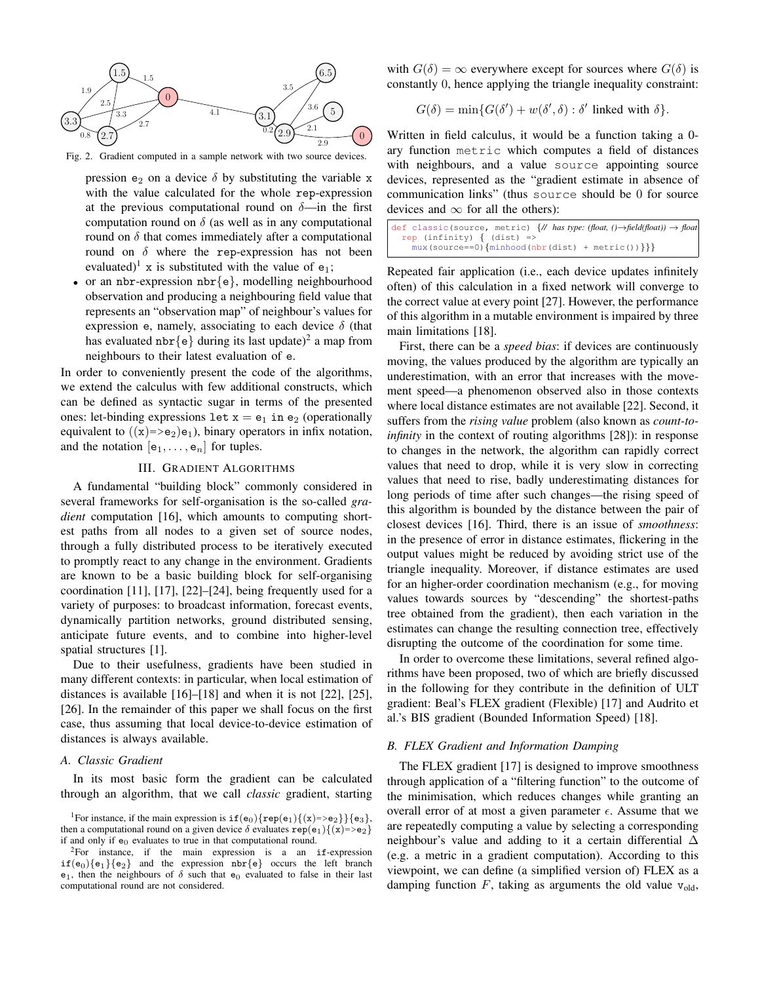

Fig. 2. Gradient computed in a sample network with two source devices.

pression  $e_2$  on a device  $\delta$  by substituting the variable x with the value calculated for the whole rep-expression at the previous computational round on  $\delta$ —in the first computation round on  $\delta$  (as well as in any computational round on  $\delta$  that comes immediately after a computational round on  $\delta$  where the rep-expression has not been evaluated)<sup>1</sup> x is substituted with the value of  $e_1$ ;

• or an nbr-expression  $nbr{e}$ , modelling neighbourhood observation and producing a neighbouring field value that represents an "observation map" of neighbour's values for expression e, namely, associating to each device  $\delta$  (that has evaluated nbr $\{e\}$  during its last update)<sup>2</sup> a map from neighbours to their latest evaluation of e.

In order to conveniently present the code of the algorithms, we extend the calculus with few additional constructs, which can be defined as syntactic sugar in terms of the presented ones: let-binding expressions let  $x = e_1$  in  $e_2$  (operationally equivalent to  $((x)=e_2)e_1$ , binary operators in infix notation, and the notation  $[e_1, \ldots, e_n]$  for tuples.

#### III. GRADIENT ALGORITHMS

A fundamental "building block" commonly considered in several frameworks for self-organisation is the so-called *gradient* computation [16], which amounts to computing shortest paths from all nodes to a given set of source nodes, through a fully distributed process to be iteratively executed to promptly react to any change in the environment. Gradients are known to be a basic building block for self-organising coordination [11], [17], [22]–[24], being frequently used for a variety of purposes: to broadcast information, forecast events, dynamically partition networks, ground distributed sensing, anticipate future events, and to combine into higher-level spatial structures [1].

Due to their usefulness, gradients have been studied in many different contexts: in particular, when local estimation of distances is available [16]–[18] and when it is not [22], [25], [26]. In the remainder of this paper we shall focus on the first case, thus assuming that local device-to-device estimation of distances is always available.

#### *A. Classic Gradient*

In its most basic form the gradient can be calculated through an algorithm, that we call *classic* gradient, starting with  $G(\delta) = \infty$  everywhere except for sources where  $G(\delta)$  is constantly 0, hence applying the triangle inequality constraint:

$$
G(\delta) = \min\{G(\delta') + w(\delta', \delta) : \delta' \text{ linked with } \delta\}.
$$

Written in field calculus, it would be a function taking a 0 ary function metric which computes a field of distances with neighbours, and a value source appointing source devices, represented as the "gradient estimate in absence of communication links" (thus source should be 0 for source devices and  $\infty$  for all the others):

```
def classic(source, metric) {// has type: (float, ()→field(float)) → float
  rep (infinity) { (dist) =>
    mux(source==0) {minnhood(nbr(dist) + metric())}}}
```
Repeated fair application (i.e., each device updates infinitely often) of this calculation in a fixed network will converge to the correct value at every point [27]. However, the performance of this algorithm in a mutable environment is impaired by three main limitations [18].

First, there can be a *speed bias*: if devices are continuously moving, the values produced by the algorithm are typically an underestimation, with an error that increases with the movement speed—a phenomenon observed also in those contexts where local distance estimates are not available [22]. Second, it suffers from the *rising value* problem (also known as *count-toinfinity* in the context of routing algorithms [28]): in response to changes in the network, the algorithm can rapidly correct values that need to drop, while it is very slow in correcting values that need to rise, badly underestimating distances for long periods of time after such changes—the rising speed of this algorithm is bounded by the distance between the pair of closest devices [16]. Third, there is an issue of *smoothness*: in the presence of error in distance estimates, flickering in the output values might be reduced by avoiding strict use of the triangle inequality. Moreover, if distance estimates are used for an higher-order coordination mechanism (e.g., for moving values towards sources by "descending" the shortest-paths tree obtained from the gradient), then each variation in the estimates can change the resulting connection tree, effectively disrupting the outcome of the coordination for some time.

In order to overcome these limitations, several refined algorithms have been proposed, two of which are briefly discussed in the following for they contribute in the definition of ULT gradient: Beal's FLEX gradient (Flexible) [17] and Audrito et al.'s BIS gradient (Bounded Information Speed) [18].

#### *B. FLEX Gradient and Information Damping*

The FLEX gradient [17] is designed to improve smoothness through application of a "filtering function" to the outcome of the minimisation, which reduces changes while granting an overall error of at most a given parameter  $\epsilon$ . Assume that we are repeatedly computing a value by selecting a corresponding neighbour's value and adding to it a certain differential  $\Delta$ (e.g. a metric in a gradient computation). According to this viewpoint, we can define (a simplified version of) FLEX as a damping function F, taking as arguments the old value  $v_{old}$ ,

<sup>&</sup>lt;sup>1</sup>For instance, if the main expression is  $if(e_0){repe(e_1){(x)=>e_2}}\geq e_3$ , then a computational round on a given device  $\delta$  evaluates  $\text{rep}(e_1)\{(x)=e_2\}$ if and only if  $e_0$  evaluates to true in that computational round.

 ${}^{2}$ For instance, if the main expression is a an if-expression  $if(e_0)$ {e<sub>1</sub>}{e<sub>2</sub>} and the expression  $nbr{e}$ } occurs the left branch e<sub>1</sub>, then the neighbours of  $\delta$  such that e<sub>0</sub> evaluated to false in their last computational round are not considered.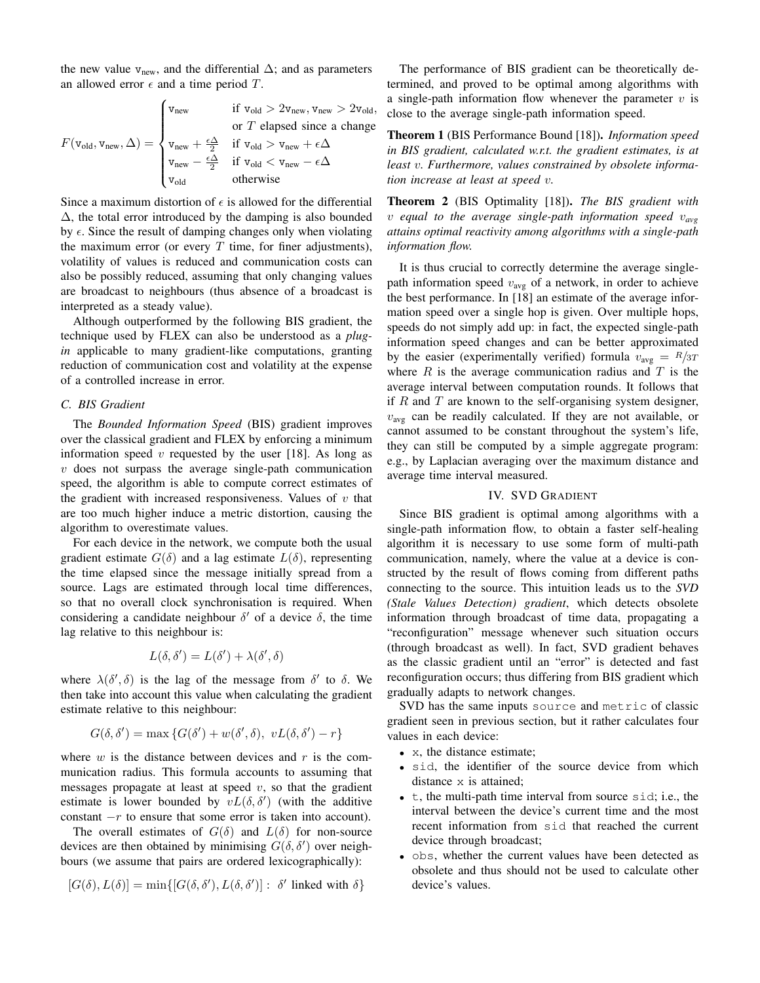the new value  $v_{\text{new}}$ , and the differential  $\Delta$ ; and as parameters an allowed error  $\epsilon$  and a time period T.

$$
F(\mathtt{v}_{\mathrm{old}},\mathtt{v}_{\mathrm{new}},\Delta)=\begin{cases} \mathtt{v}_{\mathrm{new}} & \text{if }\mathtt{v}_{\mathrm{old}} > 2 \mathtt{v}_{\mathrm{new}},\mathtt{v}_{\mathrm{new}} > 2 \mathtt{v}_{\mathrm{old}},\\ & \text{or } T \text{ elapsed since a change}\\ \mathtt{v}_{\mathrm{new}}+\frac{\epsilon \Delta}{2} & \text{if }\mathtt{v}_{\mathrm{old}} > \mathtt{v}_{\mathrm{new}}+\epsilon \Delta\\ \mathtt{v}_{\mathrm{new}}-\frac{\epsilon \Delta}{2} & \text{if }\mathtt{v}_{\mathrm{old}} < \mathtt{v}_{\mathrm{new}}-\epsilon \Delta\\ \mathtt{v}_{\mathrm{old}} & \text{otherwise} \end{cases}
$$

Since a maximum distortion of  $\epsilon$  is allowed for the differential ∆, the total error introduced by the damping is also bounded by  $\epsilon$ . Since the result of damping changes only when violating the maximum error (or every  $T$  time, for finer adjustments), volatility of values is reduced and communication costs can also be possibly reduced, assuming that only changing values are broadcast to neighbours (thus absence of a broadcast is interpreted as a steady value).

Although outperformed by the following BIS gradient, the technique used by FLEX can also be understood as a *plugin* applicable to many gradient-like computations, granting reduction of communication cost and volatility at the expense of a controlled increase in error.

### *C. BIS Gradient*

The *Bounded Information Speed* (BIS) gradient improves over the classical gradient and FLEX by enforcing a minimum information speed  $v$  requested by the user [18]. As long as  $v$  does not surpass the average single-path communication speed, the algorithm is able to compute correct estimates of the gradient with increased responsiveness. Values of  $v$  that are too much higher induce a metric distortion, causing the algorithm to overestimate values.

For each device in the network, we compute both the usual gradient estimate  $G(\delta)$  and a lag estimate  $L(\delta)$ , representing the time elapsed since the message initially spread from a source. Lags are estimated through local time differences, so that no overall clock synchronisation is required. When considering a candidate neighbour  $\delta'$  of a device  $\delta$ , the time lag relative to this neighbour is:

$$
L(\delta, \delta') = L(\delta') + \lambda(\delta', \delta)
$$

where  $\lambda(\delta', \delta)$  is the lag of the message from  $\delta'$  to  $\delta$ . We then take into account this value when calculating the gradient estimate relative to this neighbour:

$$
G(\delta, \delta') = \max \{ G(\delta') + w(\delta', \delta), \ vL(\delta, \delta') - r \}
$$

where  $w$  is the distance between devices and  $r$  is the communication radius. This formula accounts to assuming that messages propagate at least at speed  $v$ , so that the gradient estimate is lower bounded by  $vL(\delta, \delta')$  (with the additive constant  $-r$  to ensure that some error is taken into account).

The overall estimates of  $G(\delta)$  and  $L(\delta)$  for non-source devices are then obtained by minimising  $G(\delta, \delta')$  over neighbours (we assume that pairs are ordered lexicographically):

$$
[G(\delta), L(\delta)] = \min\{[G(\delta, \delta'), L(\delta, \delta')]: \delta' \text{ linked with } \delta\}
$$

The performance of BIS gradient can be theoretically determined, and proved to be optimal among algorithms with a single-path information flow whenever the parameter  $v$  is close to the average single-path information speed.

Theorem 1 (BIS Performance Bound [18]). *Information speed in BIS gradient, calculated w.r.t. the gradient estimates, is at least* v*. Furthermore, values constrained by obsolete information increase at least at speed* v*.*

Theorem 2 (BIS Optimality [18]). *The BIS gradient with* v *equal to the average single-path information speed* v*avg attains optimal reactivity among algorithms with a single-path information flow.*

It is thus crucial to correctly determine the average singlepath information speed  $v_{\text{avg}}$  of a network, in order to achieve the best performance. In [18] an estimate of the average information speed over a single hop is given. Over multiple hops, speeds do not simply add up: in fact, the expected single-path information speed changes and can be better approximated by the easier (experimentally verified) formula  $v_{\text{avg}} = R/3T$ where  $R$  is the average communication radius and  $T$  is the average interval between computation rounds. It follows that if  $R$  and  $T$  are known to the self-organising system designer,  $v_{\text{avg}}$  can be readily calculated. If they are not available, or cannot assumed to be constant throughout the system's life, they can still be computed by a simple aggregate program: e.g., by Laplacian averaging over the maximum distance and average time interval measured.

#### IV. SVD GRADIENT

Since BIS gradient is optimal among algorithms with a single-path information flow, to obtain a faster self-healing algorithm it is necessary to use some form of multi-path communication, namely, where the value at a device is constructed by the result of flows coming from different paths connecting to the source. This intuition leads us to the *SVD (Stale Values Detection) gradient*, which detects obsolete information through broadcast of time data, propagating a "reconfiguration" message whenever such situation occurs (through broadcast as well). In fact, SVD gradient behaves as the classic gradient until an "error" is detected and fast reconfiguration occurs; thus differing from BIS gradient which gradually adapts to network changes.

SVD has the same inputs source and metric of classic gradient seen in previous section, but it rather calculates four values in each device:

- x, the distance estimate;
- sid, the identifier of the source device from which distance x is attained;
- t, the multi-path time interval from source sid; i.e., the interval between the device's current time and the most recent information from sid that reached the current device through broadcast;
- obs, whether the current values have been detected as obsolete and thus should not be used to calculate other device's values.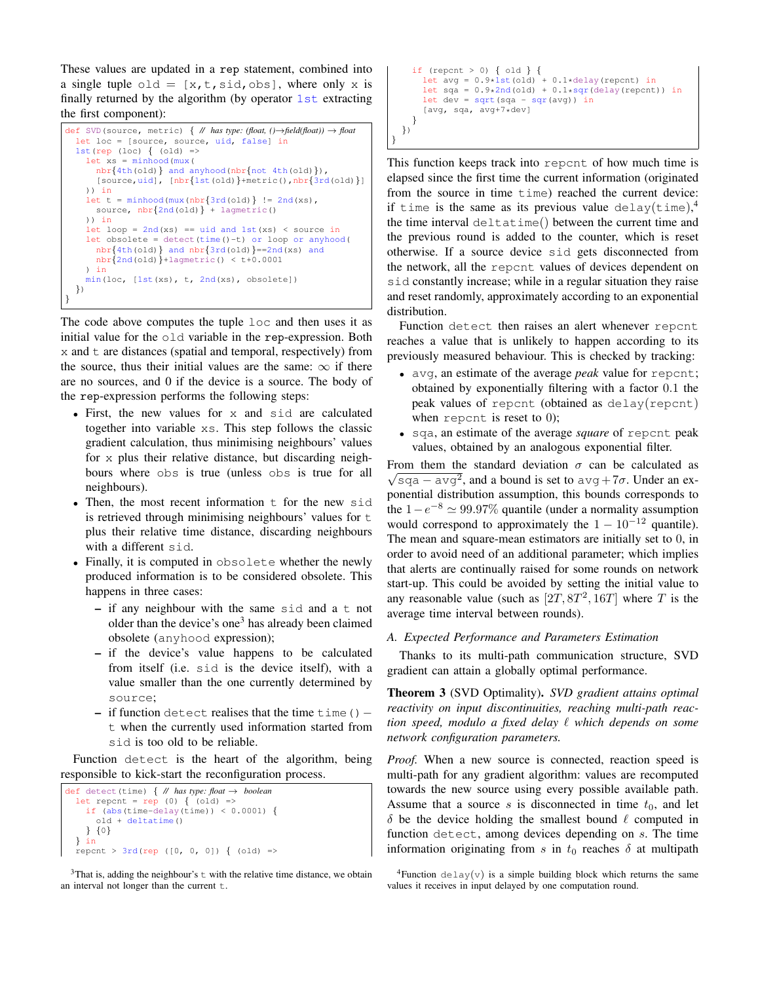These values are updated in a rep statement, combined into a single tuple old =  $[x, t, sid, obs]$ , where only x is finally returned by the algorithm (by operator  $1st$  extracting the first component):

```
def SVD(source, metric) { // has type: (float, ()→field(float)) → float
  let loc = [source, source, uid, false] in
  1st(rep (loc) \{ (old) =>
    let xs = minhood(max()nbr{4th(old)} and anyhood(nbr{not 4th(old)}),
      [source,uid], [nbr{1st(old)}+metric(),nbr{3rd(old)}])) in
    let t = minhood(max(nbr{3rd(old)} != 2nd(xs),source, nbr{2nd(old)} + lagmetric())) in
    let loop = 2nd(xs) == wid and 1st(xs) < source inlet obsolete = detect(time()-t) or loop or anyhood(
      nbr{4th(old)} and nbr{3rd(old)}==2nd(xs) and
      nbr{2nd(old)}\frac{1}{1}+lagmetric() < t+0.0001
    ) in
    min(loc, [1st(xs), t, 2nd(xs), obsolete])
 })
}
```
The code above computes the tuple loc and then uses it as initial value for the old variable in the rep-expression. Both  $x$  and  $t$  are distances (spatial and temporal, respectively) from the source, thus their initial values are the same:  $\infty$  if there are no sources, and 0 if the device is a source. The body of the rep-expression performs the following steps:

- First, the new values for x and sid are calculated together into variable xs. This step follows the classic gradient calculation, thus minimising neighbours' values for x plus their relative distance, but discarding neighbours where obs is true (unless obs is true for all neighbours).
- Then, the most recent information  $t$  for the new sid is retrieved through minimising neighbours' values for t plus their relative time distance, discarding neighbours with a different sid.
- Finally, it is computed in obsolete whether the newly produced information is to be considered obsolete. This happens in three cases:
	- if any neighbour with the same sid and a t not older than the device's one<sup>3</sup> has already been claimed obsolete (anyhood expression);
	- if the device's value happens to be calculated from itself (i.e. sid is the device itself), with a value smaller than the one currently determined by source;
	- if function detect realises that the time time()− t when the currently used information started from sid is too old to be reliable.

Function detect is the heart of the algorithm, being responsible to kick-start the reconfiguration process.

```
def detect(time) { // has type: float → boolean
 let repcnt = rep (0) { (old) =>
   if (abs(time-delay(time)) < 0.0001) {
     old + deltatime()
   } {0}
 } in
 report > 3rd(rep ([0, 0, 0]) { (old )}
```
 $3$ That is, adding the neighbour's  $\pm$  with the relative time distance, we obtain an interval not longer than the current  $t$ .

if (repcnt > 0) { old } { let avg = 0.9\*1st(old) + 0.1\*delay(repcnt) in let sqa = 0.9\*2nd(old) + 0.1\*sqr(delay(repcnt)) in let dev = sqrt(sqa - sqr(avg)) in [avg, sqa, avg+7\*dev] } })

}

This function keeps track into repcnt of how much time is elapsed since the first time the current information (originated from the source in time time) reached the current device: if time is the same as its previous value  $delay(time),$ <sup>4</sup> the time interval deltatime() between the current time and the previous round is added to the counter, which is reset otherwise. If a source device sid gets disconnected from the network, all the repcnt values of devices dependent on sid constantly increase; while in a regular situation they raise and reset randomly, approximately according to an exponential distribution.

Function detect then raises an alert whenever repcnt reaches a value that is unlikely to happen according to its previously measured behaviour. This is checked by tracking:

- avg, an estimate of the average *peak* value for repcnt; obtained by exponentially filtering with a factor 0.1 the peak values of repcnt (obtained as delay(repcnt) when report is reset to  $0$ ;
- sqa, an estimate of the average *square* of repcnt peak values, obtained by an analogous exponential filter.

From them the standard deviation  $\sigma$  can be calculated as  $\sqrt{sqa - avg^2}$ , and a bound is set to  $avg + 7\sigma$ . Under an exponential distribution assumption, this bounds corresponds to the  $1 - e^{-8} \simeq 99.97\%$  quantile (under a normality assumption would correspond to approximately the  $1 - 10^{-12}$  quantile). The mean and square-mean estimators are initially set to 0, in order to avoid need of an additional parameter; which implies that alerts are continually raised for some rounds on network start-up. This could be avoided by setting the initial value to any reasonable value (such as  $[2T, 8T^2, 16T]$  where T is the average time interval between rounds).

#### *A. Expected Performance and Parameters Estimation*

Thanks to its multi-path communication structure, SVD gradient can attain a globally optimal performance.

Theorem 3 (SVD Optimality). *SVD gradient attains optimal reactivity on input discontinuities, reaching multi-path reaction speed, modulo a fixed delay*  $\ell$  *which depends on some network configuration parameters.*

*Proof.* When a new source is connected, reaction speed is multi-path for any gradient algorithm: values are recomputed towards the new source using every possible available path. Assume that a source s is disconnected in time  $t_0$ , and let  $\delta$  be the device holding the smallest bound  $\ell$  computed in function detect, among devices depending on s. The time information originating from s in  $t_0$  reaches  $\delta$  at multipath

<sup>&</sup>lt;sup>4</sup>Function delay(v) is a simple building block which returns the same values it receives in input delayed by one computation round.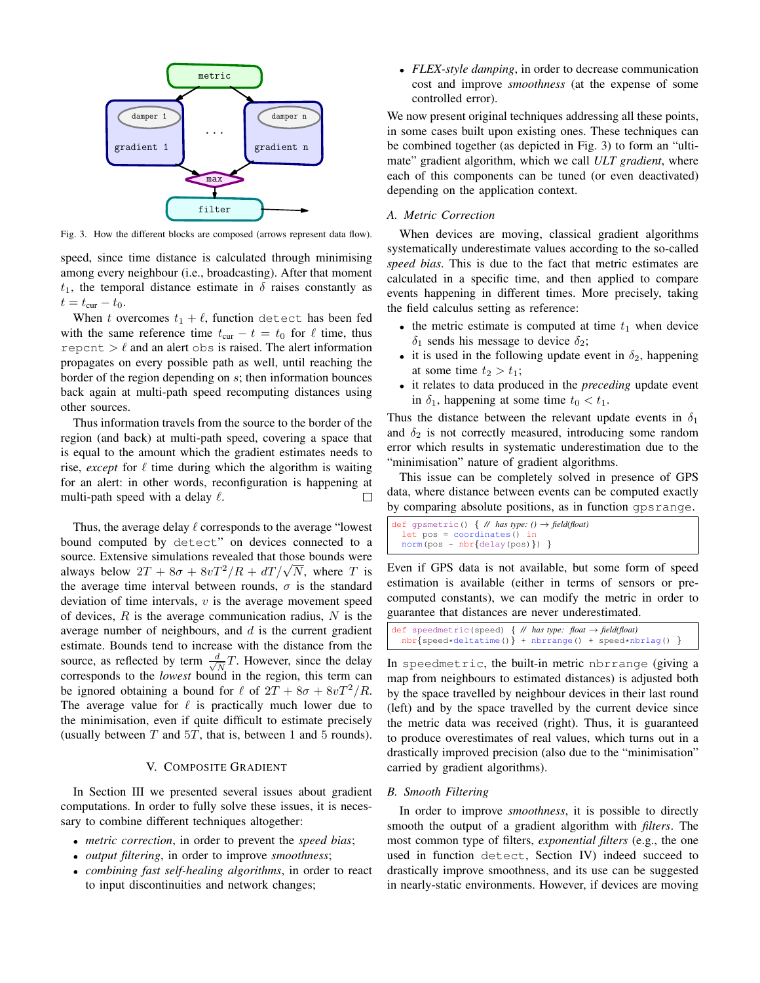

Fig. 3. How the different blocks are composed (arrows represent data flow).

speed, since time distance is calculated through minimising among every neighbour (i.e., broadcasting). After that moment  $t_1$ , the temporal distance estimate in  $\delta$  raises constantly as  $t = t_{\text{cur}} - t_0.$ 

When t overcomes  $t_1 + \ell$ , function detect has been fed with the same reference time  $t_{\text{cur}} - t = t_0$  for  $\ell$  time, thus repcnt  $\geq \ell$  and an alert obs is raised. The alert information propagates on every possible path as well, until reaching the border of the region depending on s; then information bounces back again at multi-path speed recomputing distances using other sources.

Thus information travels from the source to the border of the region (and back) at multi-path speed, covering a space that is equal to the amount which the gradient estimates needs to rise, *except* for  $\ell$  time during which the algorithm is waiting for an alert: in other words, reconfiguration is happening at multi-path speed with a delay  $\ell$ .  $\Box$ 

Thus, the average delay  $\ell$  corresponds to the average "lowest" bound computed by detect" on devices connected to a source. Extensive simulations revealed that those bounds were source. Extensive simulations revealed that those bounds were<br>always below  $2T + 8\sigma + 8vT^2/R + dT/\sqrt{N}$ , where T is the average time interval between rounds,  $\sigma$  is the standard deviation of time intervals,  $v$  is the average movement speed of devices,  $R$  is the average communication radius,  $N$  is the average number of neighbours, and  $d$  is the current gradient estimate. Bounds tend to increase with the distance from the source, as reflected by term  $\frac{d}{\sqrt{d}}$  $\frac{d}{N}T$ . However, since the delay corresponds to the *lowest* bound in the region, this term can be ignored obtaining a bound for  $\ell$  of  $2T + 8\sigma + 8vT^2/R$ . The average value for  $\ell$  is practically much lower due to the minimisation, even if quite difficult to estimate precisely (usually between  $T$  and  $5T$ , that is, between 1 and 5 rounds).

#### V. COMPOSITE GRADIENT

In Section III we presented several issues about gradient computations. In order to fully solve these issues, it is necessary to combine different techniques altogether:

- *metric correction*, in order to prevent the *speed bias*;
- *output filtering*, in order to improve *smoothness*;
- *combining fast self-healing algorithms*, in order to react to input discontinuities and network changes;

• *FLEX-style damping*, in order to decrease communication cost and improve *smoothness* (at the expense of some controlled error).

We now present original techniques addressing all these points, in some cases built upon existing ones. These techniques can be combined together (as depicted in Fig. 3) to form an "ultimate" gradient algorithm, which we call *ULT gradient*, where each of this components can be tuned (or even deactivated) depending on the application context.

#### *A. Metric Correction*

When devices are moving, classical gradient algorithms systematically underestimate values according to the so-called *speed bias*. This is due to the fact that metric estimates are calculated in a specific time, and then applied to compare events happening in different times. More precisely, taking the field calculus setting as reference:

- the metric estimate is computed at time  $t_1$  when device  $\delta_1$  sends his message to device  $\delta_2$ ;
- it is used in the following update event in  $\delta_2$ , happening at some time  $t_2 > t_1$ ;
- it relates to data produced in the *preceding* update event in  $\delta_1$ , happening at some time  $t_0 < t_1$ .

Thus the distance between the relevant update events in  $\delta_1$ and  $\delta_2$  is not correctly measured, introducing some random error which results in systematic underestimation due to the "minimisation" nature of gradient algorithms.

This issue can be completely solved in presence of GPS data, where distance between events can be computed exactly by comparing absolute positions, as in function gpsrange.

```
def gpsmetric() { // has type: () → field(float)
  let pos = coordinates() in
  norm(pos - nbr{delay(pos)}) }
```
Even if GPS data is not available, but some form of speed estimation is available (either in terms of sensors or precomputed constants), we can modify the metric in order to guarantee that distances are never underestimated.

| def speedmetric(speed) { // has type: float $\rightarrow$ field(float) |                                                                       |
|------------------------------------------------------------------------|-----------------------------------------------------------------------|
|                                                                        | $nbr{speed*delta}$ + $hhr{angle}$ + $hbr{angle}$ + $speed*nbr1aq()$ } |

In speedmetric, the built-in metric nbrrange (giving a map from neighbours to estimated distances) is adjusted both by the space travelled by neighbour devices in their last round (left) and by the space travelled by the current device since the metric data was received (right). Thus, it is guaranteed to produce overestimates of real values, which turns out in a drastically improved precision (also due to the "minimisation" carried by gradient algorithms).

#### *B. Smooth Filtering*

In order to improve *smoothness*, it is possible to directly smooth the output of a gradient algorithm with *filters*. The most common type of filters, *exponential filters* (e.g., the one used in function detect, Section IV) indeed succeed to drastically improve smoothness, and its use can be suggested in nearly-static environments. However, if devices are moving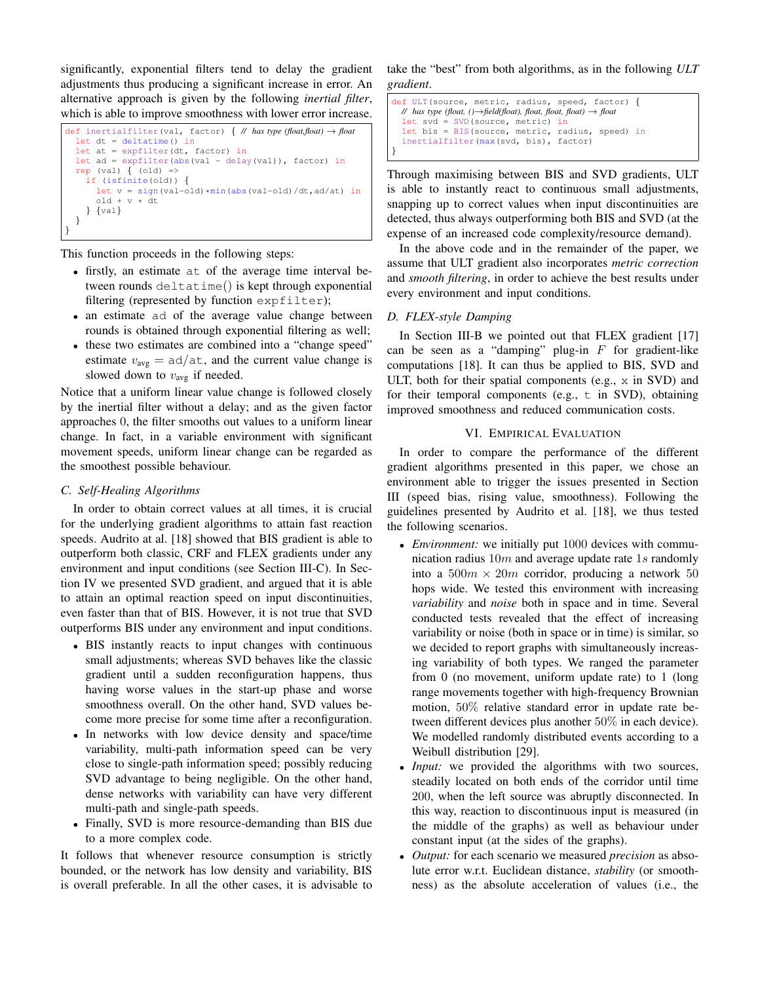significantly, exponential filters tend to delay the gradient adjustments thus producing a significant increase in error. An alternative approach is given by the following *inertial filter*, which is able to improve smoothness with lower error increase.

```
def inertialfilter(val, factor) { // has type (float,float) → float
 let dt = detlet at = expfilter(dt, factor) in
 let ad = expfilter(abs(val - delay(val)), factor) in
 rep (val) \{\bullet\} (old) =>
   if (isfinite(old)) {
      let v = sign(val-old) *min(abs(val-old)/dt,ad/at) inold + v * dt
    } {val}
 }
}
```
This function proceeds in the following steps:

- firstly, an estimate at of the average time interval between rounds deltatime() is kept through exponential filtering (represented by function expfilter);
- an estimate ad of the average value change between rounds is obtained through exponential filtering as well;
- these two estimates are combined into a "change speed" estimate  $v_{\text{avg}} = ad/at$ , and the current value change is slowed down to  $v_{\text{avg}}$  if needed.

Notice that a uniform linear value change is followed closely by the inertial filter without a delay; and as the given factor approaches 0, the filter smooths out values to a uniform linear change. In fact, in a variable environment with significant movement speeds, uniform linear change can be regarded as the smoothest possible behaviour.

#### *C. Self-Healing Algorithms*

In order to obtain correct values at all times, it is crucial for the underlying gradient algorithms to attain fast reaction speeds. Audrito at al. [18] showed that BIS gradient is able to outperform both classic, CRF and FLEX gradients under any environment and input conditions (see Section III-C). In Section IV we presented SVD gradient, and argued that it is able to attain an optimal reaction speed on input discontinuities, even faster than that of BIS. However, it is not true that SVD outperforms BIS under any environment and input conditions.

- BIS instantly reacts to input changes with continuous small adjustments; whereas SVD behaves like the classic gradient until a sudden reconfiguration happens, thus having worse values in the start-up phase and worse smoothness overall. On the other hand, SVD values become more precise for some time after a reconfiguration.
- In networks with low device density and space/time variability, multi-path information speed can be very close to single-path information speed; possibly reducing SVD advantage to being negligible. On the other hand, dense networks with variability can have very different multi-path and single-path speeds.
- Finally, SVD is more resource-demanding than BIS due to a more complex code.

It follows that whenever resource consumption is strictly bounded, or the network has low density and variability, BIS is overall preferable. In all the other cases, it is advisable to take the "best" from both algorithms, as in the following *ULT gradient*.

```
def ULT(source, metric, radius, speed, factor) {
  // has type (float, ()→field(float), float, float, float) → float
  let svd = SVD(source, metric) in
  let bis = BIS(source, metric, radius, speed) in
  inertialfilter(max(svd, bis), factor)
}
```
Through maximising between BIS and SVD gradients, ULT is able to instantly react to continuous small adjustments, snapping up to correct values when input discontinuities are detected, thus always outperforming both BIS and SVD (at the expense of an increased code complexity/resource demand).

In the above code and in the remainder of the paper, we assume that ULT gradient also incorporates *metric correction* and *smooth filtering*, in order to achieve the best results under every environment and input conditions.

#### *D. FLEX-style Damping*

In Section III-B we pointed out that FLEX gradient [17] can be seen as a "damping" plug-in  $F$  for gradient-like computations [18]. It can thus be applied to BIS, SVD and ULT, both for their spatial components (e.g.,  $\times$  in SVD) and for their temporal components (e.g., t in SVD), obtaining improved smoothness and reduced communication costs.

#### VI. EMPIRICAL EVALUATION

In order to compare the performance of the different gradient algorithms presented in this paper, we chose an environment able to trigger the issues presented in Section III (speed bias, rising value, smoothness). Following the guidelines presented by Audrito et al. [18], we thus tested the following scenarios.

- *Environment:* we initially put 1000 devices with communication radius  $10m$  and average update rate  $1s$  randomly into a  $500m \times 20m$  corridor, producing a network 50 hops wide. We tested this environment with increasing *variability* and *noise* both in space and in time. Several conducted tests revealed that the effect of increasing variability or noise (both in space or in time) is similar, so we decided to report graphs with simultaneously increasing variability of both types. We ranged the parameter from 0 (no movement, uniform update rate) to 1 (long range movements together with high-frequency Brownian motion, 50% relative standard error in update rate between different devices plus another 50% in each device). We modelled randomly distributed events according to a Weibull distribution [29].
- *Input*: we provided the algorithms with two sources, steadily located on both ends of the corridor until time 200, when the left source was abruptly disconnected. In this way, reaction to discontinuous input is measured (in the middle of the graphs) as well as behaviour under constant input (at the sides of the graphs).
- *Output:* for each scenario we measured *precision* as absolute error w.r.t. Euclidean distance, *stability* (or smoothness) as the absolute acceleration of values (i.e., the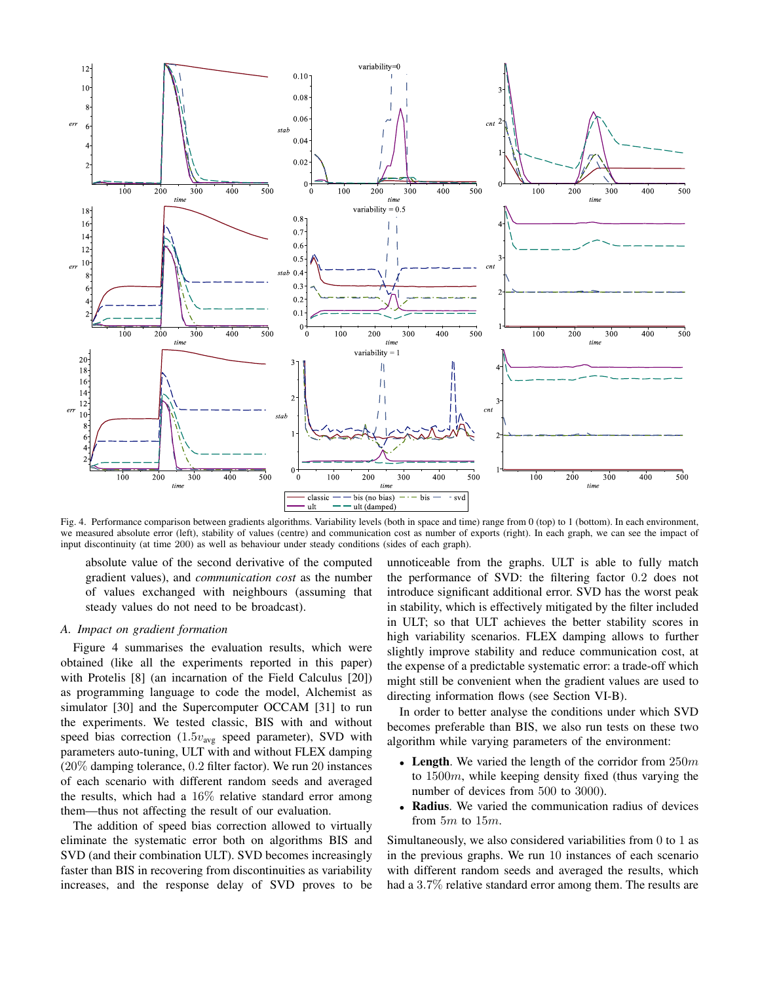

Fig. 4. Performance comparison between gradients algorithms. Variability levels (both in space and time) range from 0 (top) to 1 (bottom). In each environment, we measured absolute error (left), stability of values (centre) and communication cost as number of exports (right). In each graph, we can see the impact of input discontinuity (at time 200) as well as behaviour under steady conditions (sides of each graph).

absolute value of the second derivative of the computed gradient values), and *communication cost* as the number of values exchanged with neighbours (assuming that steady values do not need to be broadcast).

#### *A. Impact on gradient formation*

Figure 4 summarises the evaluation results, which were obtained (like all the experiments reported in this paper) with Protelis [8] (an incarnation of the Field Calculus [20]) as programming language to code the model, Alchemist as simulator [30] and the Supercomputer OCCAM [31] to run the experiments. We tested classic, BIS with and without speed bias correction  $(1.5v_{avg}$  speed parameter), SVD with parameters auto-tuning, ULT with and without FLEX damping (20% damping tolerance, 0.2 filter factor). We run 20 instances of each scenario with different random seeds and averaged the results, which had a 16% relative standard error among them—thus not affecting the result of our evaluation.

The addition of speed bias correction allowed to virtually eliminate the systematic error both on algorithms BIS and SVD (and their combination ULT). SVD becomes increasingly faster than BIS in recovering from discontinuities as variability increases, and the response delay of SVD proves to be unnoticeable from the graphs. ULT is able to fully match the performance of SVD: the filtering factor 0.2 does not introduce significant additional error. SVD has the worst peak in stability, which is effectively mitigated by the filter included in ULT; so that ULT achieves the better stability scores in high variability scenarios. FLEX damping allows to further slightly improve stability and reduce communication cost, at the expense of a predictable systematic error: a trade-off which might still be convenient when the gradient values are used to directing information flows (see Section VI-B).

In order to better analyse the conditions under which SVD becomes preferable than BIS, we also run tests on these two algorithm while varying parameters of the environment:

- Length. We varied the length of the corridor from  $250m$ to  $1500m$ , while keeping density fixed (thus varying the number of devices from 500 to 3000).
- Radius. We varied the communication radius of devices from  $5m$  to  $15m$ .

Simultaneously, we also considered variabilities from 0 to 1 as in the previous graphs. We run 10 instances of each scenario with different random seeds and averaged the results, which had a 3.7% relative standard error among them. The results are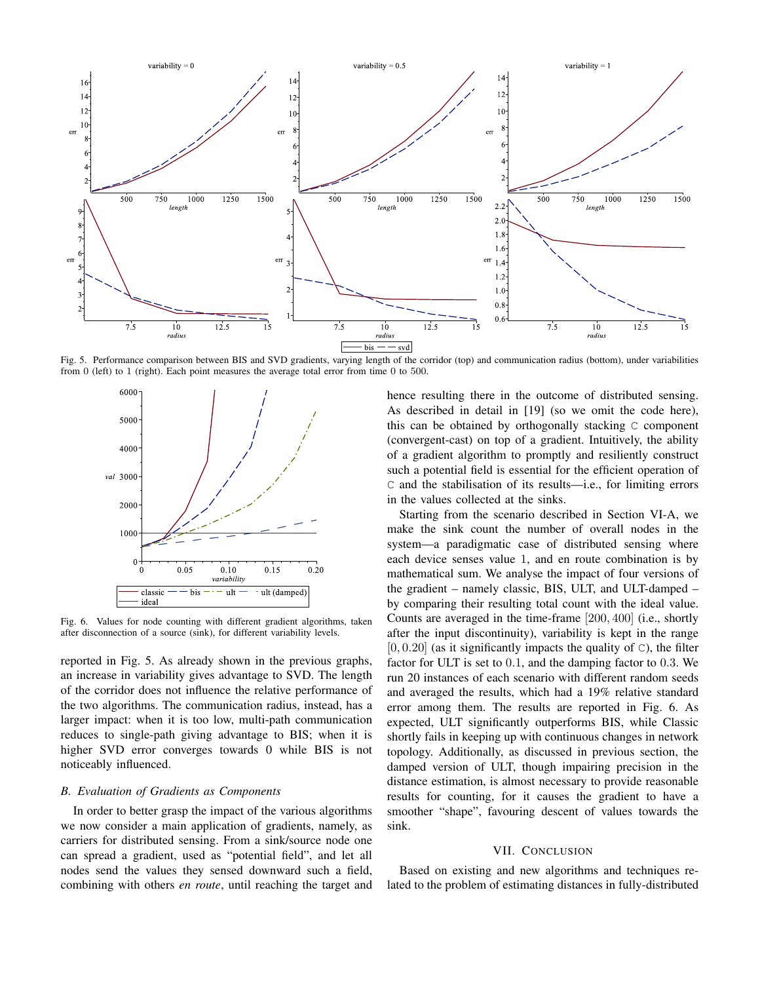

Fig. 5. Performance comparison between BIS and SVD gradients, varying length of the corridor (top) and communication radius (bottom), under variabilities from 0 (left) to 1 (right). Each point measures the average total error from time 0 to 500.



Fig. 6. Values for node counting with different gradient algorithms, taken after disconnection of a source (sink), for different variability levels.

reported in Fig. 5. As already shown in the previous graphs, an increase in variability gives advantage to SVD. The length of the corridor does not influence the relative performance of the two algorithms. The communication radius, instead, has a larger impact: when it is too low, multi-path communication reduces to single-path giving advantage to BIS; when it is higher SVD error converges towards 0 while BIS is not noticeably influenced.

#### *B. Evaluation of Gradients as Components*

In order to better grasp the impact of the various algorithms we now consider a main application of gradients, namely, as carriers for distributed sensing. From a sink/source node one can spread a gradient, used as "potential field", and let all nodes send the values they sensed downward such a field, combining with others *en route*, until reaching the target and hence resulting there in the outcome of distributed sensing. As described in detail in [19] (so we omit the code here), this can be obtained by orthogonally stacking C component (convergent-cast) on top of a gradient. Intuitively, the ability of a gradient algorithm to promptly and resiliently construct such a potential field is essential for the efficient operation of C and the stabilisation of its results—i.e., for limiting errors in the values collected at the sinks.

Starting from the scenario described in Section VI-A, we make the sink count the number of overall nodes in the system—a paradigmatic case of distributed sensing where each device senses value 1, and en route combination is by mathematical sum. We analyse the impact of four versions of the gradient – namely classic, BIS, ULT, and ULT-damped – by comparing their resulting total count with the ideal value. Counts are averaged in the time-frame [200, 400] (i.e., shortly after the input discontinuity), variability is kept in the range  $[0, 0.20]$  (as it significantly impacts the quality of C), the filter factor for ULT is set to 0.1, and the damping factor to 0.3. We run 20 instances of each scenario with different random seeds and averaged the results, which had a 19% relative standard error among them. The results are reported in Fig. 6. As expected, ULT significantly outperforms BIS, while Classic shortly fails in keeping up with continuous changes in network topology. Additionally, as discussed in previous section, the damped version of ULT, though impairing precision in the distance estimation, is almost necessary to provide reasonable results for counting, for it causes the gradient to have a smoother "shape", favouring descent of values towards the sink.

#### VII. CONCLUSION

Based on existing and new algorithms and techniques related to the problem of estimating distances in fully-distributed